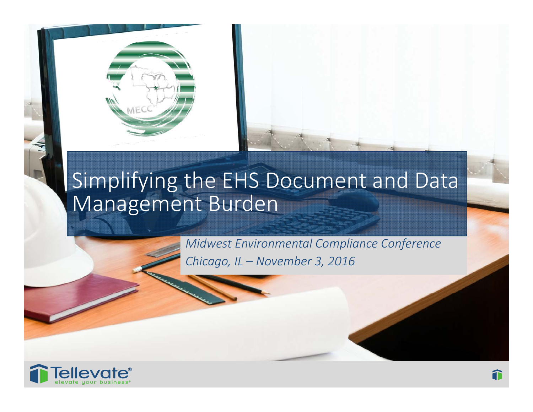



*Midwest Environmental Compliance Conference Chicago, IL – November 3, 2016*

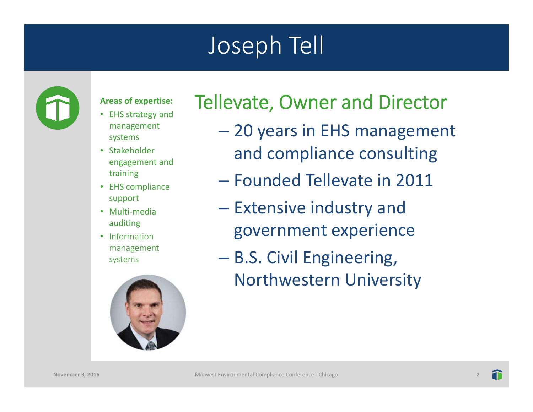# Joseph Tell



#### **Areas of expertise:**

- EHS strategy and management systems
- Stakeholder engagement and training
- EHS compliance support
- Multi-media auditing
- Information management systems



#### Tellevate, Owner and Director

- 20 years in EHS management and compliance consulting
- Founded Tellevate in 2011
- – $-$  Extensive industry and government experience
- B.S. Civil Engineering, Northwestern University

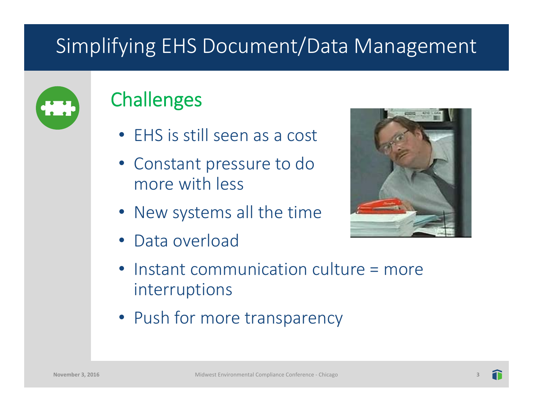

#### **Challenges**

- EHS is still seen as a cost
- Constant pressure to do more with less
- New systems all the time
- Data overload



- Instant communication culture = more interruptions
- Push for more transparency

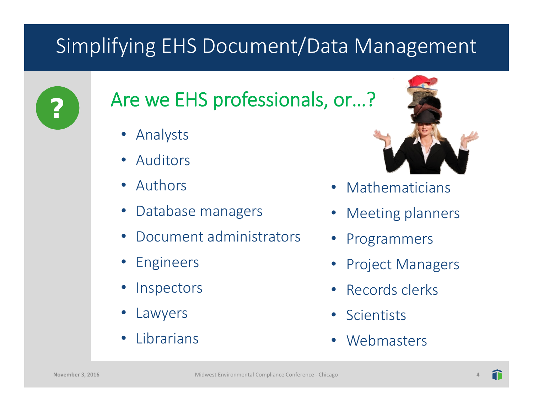

#### Are we EHS professionals, or…?

- •Analysts
- •Auditors
- Authors
- •Database managers
- •Document administrators
- •Engineers
- •**Inspectors**
- •Lawyers
- •Librarians



- •Mathematicians
- Meeting planners
- •Programmers
- •Project Managers
- Records clerks
- Scientists
- •**Webmasters**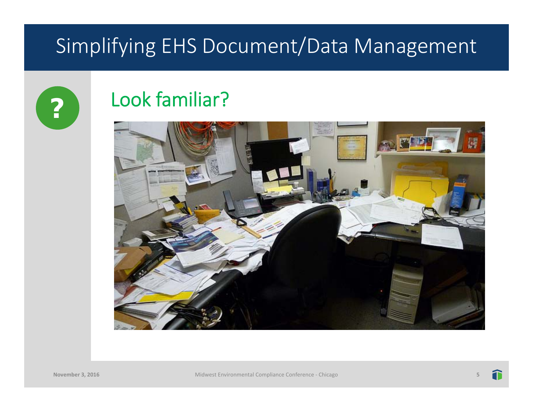

#### Look familiar?

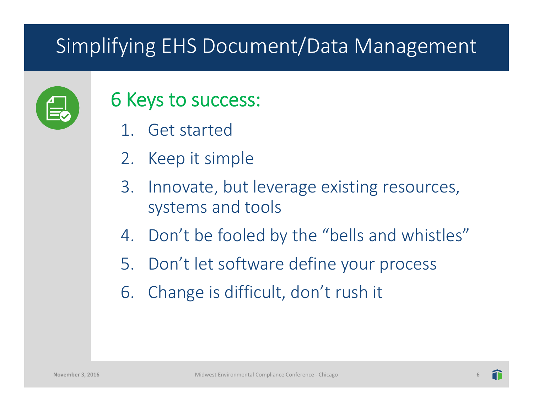

#### 6 Keys to success:

- 1. Get started
- 2. Keep it simple
- 3. Innovate, but leverage existing resources, systems and tools
- 4. Don't be fooled by the "bells and whistles"
- 5. Don't let software define your process
- 6. Change is difficult, don't rush it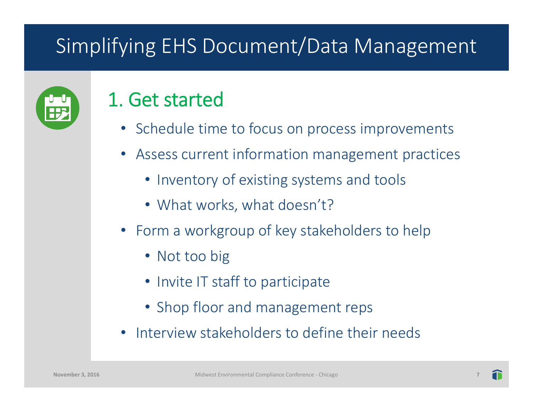| г.<br>╹┣<br>and the contract |  |
|------------------------------|--|
|                              |  |
|                              |  |

#### 1. Get started

- Schedule time to focus on process improvements
- Assess current information management practices
	- Inventory of existing systems and tools
	- What works, what doesn't?
- Form a workgroup of key stakeholders to help
	- Not too big
	- Invite IT staff to participate
	- Shop floor and management reps
- Interview stakeholders to define their needs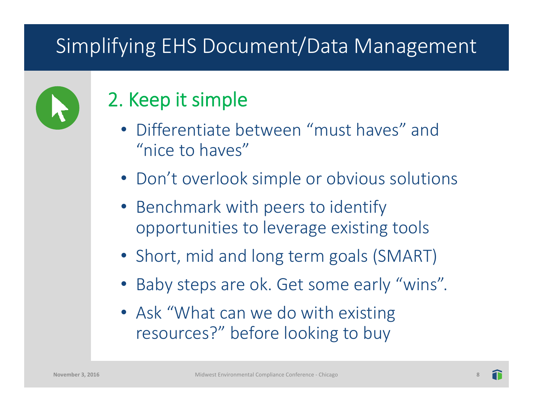

#### 2. Keep it simple

- Differentiate between "must haves" and "nice to haves"
- Don't overlook simple or obvious solutions
- Benchmark with peers to identify opportunities to leverage existing tools
- Short, mid and long term goals (SMART)
- Baby steps are ok. Get some early "wins".
- Ask "What can we do with existing resources?" before looking to buy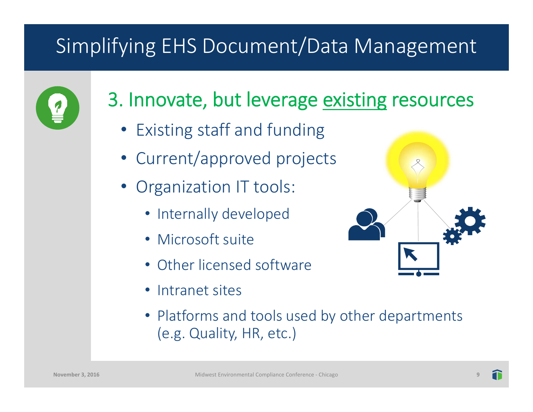

#### 3. Innovate, but leverage existing resources

- Existing staff and funding
- Current/approved projects
- Organization IT tools:
	- Internally developed
	- Microsoft suite
	- Other licensed software
	- Intranet sites
	- Platforms and tools used by other departments (e.g. Quality, HR, etc.)

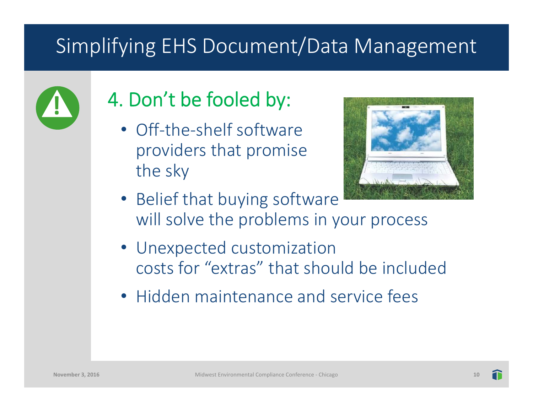

# 4. Don't be fooled by:

• Off-the-shelf software providers that promise the sky



- Belief that buying software will solve the problems in your process
- Unexpected customization costs for "extras" that should be included
- Hidden maintenance and service fees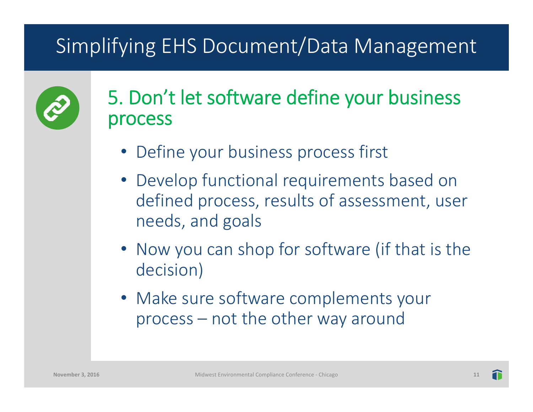

#### 5. Don't let software define your business process

- Define your business process first
- Develop functional requirements based on defined process, results of assessment, user needs, and goals
- Now you can shop for software (if that is the decision)
- Make sure software complements your process – not the other way around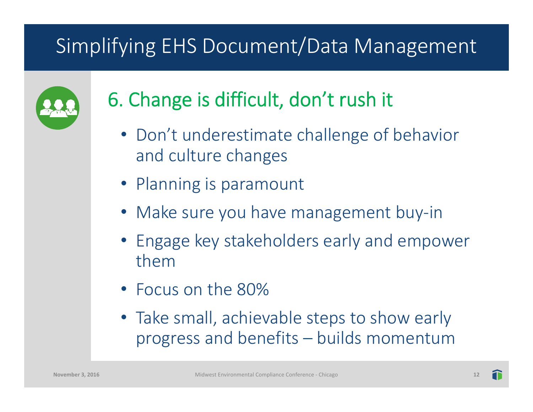

# 6. Change is difficult, don't rush it

- Don't underestimate challenge of behavior and culture changes
- Planning is paramount
- Make sure you have management buy‐in
- Engage key stakeholders early and empower them
- Focus on the 80%
- Take small, achievable steps to show early progress and benefits – builds momentum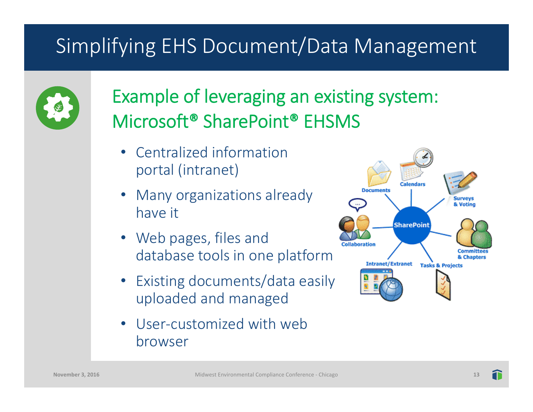

#### Example of leveraging an existing system: Microsoft® SharePoint® EHSMS

- Centralized information portal (intranet)
- Many organizations already have it
- Web pages, files and database tools in one platform
- Existing documents/data easily uploaded and managed
- • User‐customized with web browser

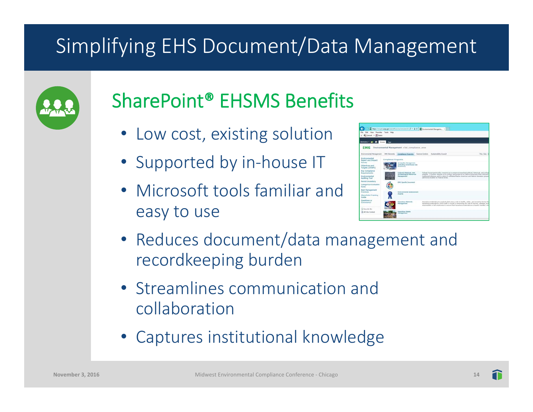

# SharePoint® EHSMS Benefits

- Low cost, existing solution
- Supported by in-house IT
- Microsoft tools familiar and easy to use



- Reduces document/data management and recordkeeping burden
- Streamlines communication and collaboration
- Captures institutional knowledge